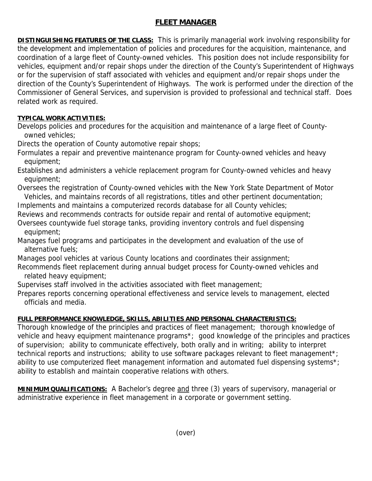## **FLEET MANAGER**

**DISTINGUISHING FEATURES OF THE CLASS:** This is primarily managerial work involving responsibility for the development and implementation of policies and procedures for the acquisition, maintenance, and coordination of a large fleet of County-owned vehicles. This position does not include responsibility for vehicles, equipment and/or repair shops under the direction of the County's Superintendent of Highways or for the supervision of staff associated with vehicles and equipment and/or repair shops under the direction of the County's Superintendent of Highways. The work is performed under the direction of the Commissioner of General Services, and supervision is provided to professional and technical staff. Does related work as required.

## **TYPICAL WORK ACTIVITIES:**

Develops policies and procedures for the acquisition and maintenance of a large fleet of County owned vehicles;

Directs the operation of County automotive repair shops;

Formulates a repair and preventive maintenance program for County-owned vehicles and heavy equipment;

Establishes and administers a vehicle replacement program for County-owned vehicles and heavy equipment;

Oversees the registration of County-owned vehicles with the New York State Department of Motor Vehicles, and maintains records of all registrations, titles and other pertinent documentation;

Implements and maintains a computerized records database for all County vehicles;

Reviews and recommends contracts for outside repair and rental of automotive equipment;

Oversees countywide fuel storage tanks, providing inventory controls and fuel dispensing equipment;

Manages fuel programs and participates in the development and evaluation of the use of alternative fuels;

Manages pool vehicles at various County locations and coordinates their assignment;

Recommends fleet replacement during annual budget process for County-owned vehicles and related heavy equipment;

Supervises staff involved in the activities associated with fleet management;

Prepares reports concerning operational effectiveness and service levels to management, elected officials and media.

## **FULL PERFORMANCE KNOWLEDGE, SKILLS, ABILITIES AND PERSONAL CHARACTERISTICS:**

Thorough knowledge of the principles and practices of fleet management; thorough knowledge of vehicle and heavy equipment maintenance programs\*; good knowledge of the principles and practices of supervision; ability to communicate effectively, both orally and in writing; ability to interpret technical reports and instructions; ability to use software packages relevant to fleet management\*; ability to use computerized fleet management information and automated fuel dispensing systems\*; ability to establish and maintain cooperative relations with others.

**MINIMUM QUALIFICATIONS:** A Bachelor's degree and three (3) years of supervisory, managerial or administrative experience in fleet management in a corporate or government setting.